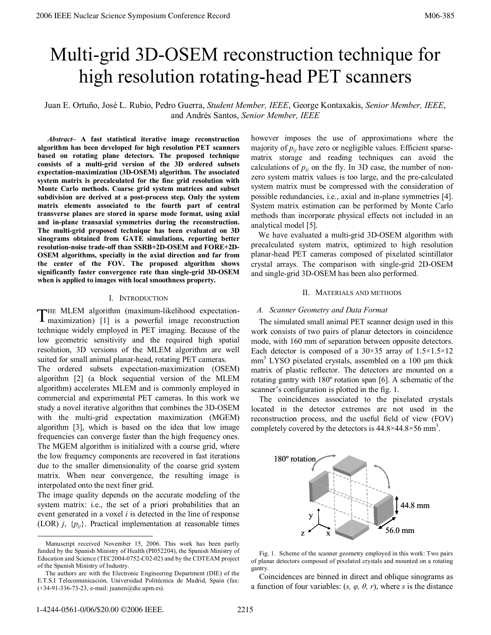# Multi-grid 3D-OSEM reconstruction technique for high resolution rotating-head PET scanners

Juan E. Ortuño, José L. Rubio, Pedro Guerra, *Student Member, IEEE*, George Kontaxakis, *Senior Member, IEEE*, and Andrés Santos, *Senior Member, IEEE*

 *Abstract–* **A fast statistical iterative image reconstruction algorithm has been developed for high resolution PET scanners based on rotating plane detectors. The proposed technique consists of a multi-grid version of the 3D ordered subsets expectation-maximization (3D-OSEM) algorithm. The associated system matrix is precalculated for the fine grid resolution with Monte Carlo methods. Coarse grid system matrices and subset subdivision are derived at a post-process step. Only the system matrix elements associated to the fourth part of central transverse planes are stored in sparse mode format, using axial and in-plane transaxial symmetries during the reconstruction. The multi-grid proposed technique has been evaluated on 3D sinograms obtained from GATE simulations, reporting better resolution-noise trade-off than SSRB+2D-OSEM and FORE+2D-OSEM algorithms, specially in the axial direction and far from the center of the FOV. The proposed algorithm shows significantly faster convergence rate than single-grid 3D-OSEM when is applied to images with local smoothness property.** 

## I. INTRODUCTION

THE MLEM algorithm (maximum-likelihood expectation-THE MLEM algorithm (maximum-likelihood expectation-<br>maximization) [1] is a powerful image reconstruction technique widely employed in PET imaging. Because of the low geometric sensitivity and the required high spatial resolution, 3D versions of the MLEM algorithm are well suited for small animal planar-head, rotating PET cameras.

The ordered subsets expectation-maximization (OSEM) algorithm [2] (a block sequential version of the MLEM algorithm) accelerates MLEM and is commonly employed in commercial and experimental PET cameras. In this work we study a novel iterative algorithm that combines the 3D-OSEM with the multi-grid expectation maximization (MGEM) algorithm [3], which is based on the idea that low image frequencies can converge faster than the high frequency ones. The MGEM algorithm is initialized with a coarse grid, where the low frequency components are recovered in fast iterations due to the smaller dimensionality of the coarse grid system matrix. When near convergence, the resulting image is interpolated onto the next finer grid.

The image quality depends on the accurate modeling of the system matrix: i.e., the set of a priori probabilities that an event generated in a voxel *i* is detected in the line of response (LOR)  $j$ ,  $\{p_{ij}\}\$ . Practical implementation at reasonable times however imposes the use of approximations where the majority of  $p_{ij}$  have zero or negligible values. Efficient sparsematrix storage and reading techniques can avoid the calculations of  $p_{ij}$  on the fly. In 3D case, the number of nonzero system matrix values is too large, and the pre-calculated system matrix must be compressed with the consideration of possible redundancies, i.e., axial and in-plane symmetries [4]. System matrix estimation can be performed by Monte Carlo methods than incorporate physical effects not included in an analytical model [5].

We have evaluated a multi-grid 3D-OSEM algorithm with precalculated system matrix, optimized to high resolution planar-head PET cameras composed of pixelated scintillator crystal arrays. The comparison with single-grid 2D-OSEM and single-grid 3D-OSEM has been also performed.

## II. MATERIALS AND METHODS

## *A. Scanner Geometry and Data Format*

The simulated small animal PET scanner design used in this work consists of two pairs of planar detectors in coincidence mode, with 160 mm of separation between opposite detectors. Each detector is composed of a  $30\times35$  array of  $1.5\times1.5\times12$ mm<sup>3</sup> LYSO pixelated crystals, assembled on a 100 µm thick matrix of plastic reflector. The detectors are mounted on a rotating gantry with 180º rotation span [6]. A schematic of the scanner's configuration is plotted in the fig. 1.

The coincidences associated to the pixelated crystals located in the detector extremes are not used in the reconstruction process, and the useful field of view (FOV) completely covered by the detectors is  $44.8 \times 44.8 \times 56$  mm<sup>3</sup>.



Fig. 1. Scheme of the scanner geometry employed in this work: Two pairs of planar detectors composed of pixelated crystals and mounted on a rotating gantry.

Coincidences are binned in direct and oblique sinograms as a function of four variables:  $(s, \varphi, \theta, r)$ , where *s* is the distance

Manuscript received November 15, 2006. This work has been partly funded by the Spanish Ministry of Health (PI052204), the Spanish Ministry of Education and Science (TEC2004-0752-C02-02) and by the CDTEAM project of the Spanish Ministry of Industry.

The authors are with the Electronic Engineering Department (DIE) of the E.T.S.I Telecomunicación, Universidad Politécnica de Madrid, Spain (fax: (+34-91-336-73-23, e-mail: juanen@die.upm.es).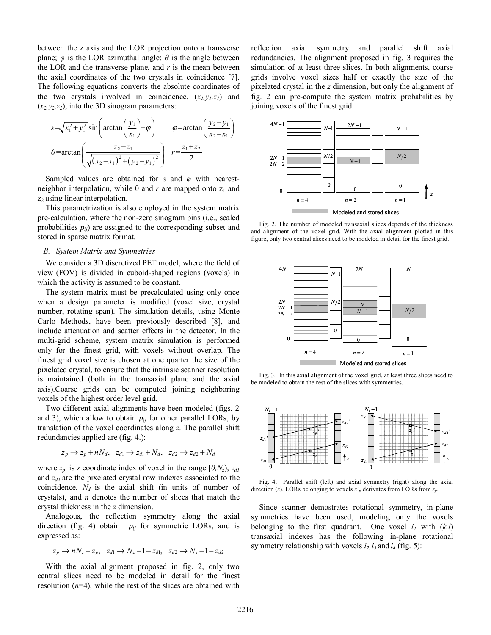between the z axis and the LOR projection onto a transverse plane;  $\varphi$  is the LOR azimuthal angle;  $\theta$  is the angle between the LOR and the transverse plane, and *r* is the mean between the axial coordinates of the two crystals in coincidence [7]. The following equations converts the absolute coordinates of the two crystals involved in coincidence,  $(x_l, y_l, z_l)$  and  $(x_2, y_2, z_2)$ , into the 3D sinogram parameters:

$$
s = \sqrt{x_1^2 + y_1^2} \sin\left(\arctan\left(\frac{y_1}{x_1}\right) - \varphi\right) \qquad \varphi = \arctan\left(\frac{y_2 - y_1}{x_2 - x_1}\right)
$$

$$
\theta = \arctan\left(\frac{z_2 - z_1}{\sqrt{(x_2 - x_1)^2 + (y_2 - y_1)^2}}\right) \qquad r \approx \frac{z_1 + z_2}{2}
$$

Sampled values are obtained for *s* and *φ* with nearestneighbor interpolation, while  $\theta$  and *r* are mapped onto  $z_1$  and  $z_2$  using linear interpolation.

This parametrization is also employed in the system matrix pre-calculation, where the non-zero sinogram bins (i.e., scaled probabilities  $p_{ij}$ ) are assigned to the corresponding subset and stored in sparse matrix format.

# *B. System Matrix and Symmetries*

We consider a 3D discretized PET model, where the field of view (FOV) is divided in cuboid-shaped regions (voxels) in which the activity is assumed to be constant.

The system matrix must be precalculated using only once when a design parameter is modified (voxel size, crystal number, rotating span). The simulation details, using Monte Carlo Methods, have been previously described [8], and include attenuation and scatter effects in the detector. In the multi-grid scheme, system matrix simulation is performed only for the finest grid, with voxels without overlap. The finest grid voxel size is chosen at one quarter the size of the pixelated crystal, to ensure that the intrinsic scanner resolution is maintained (both in the transaxial plane and the axial axis).Coarse grids can be computed joining neighboring voxels of the highest order level grid.

Two different axial alignments have been modeled (figs. 2 and 3), which allow to obtain  $p_{ij}$  for other parallel LORs, by translation of the voxel coordinates along *z*. The parallel shift redundancies applied are (fig. 4.):

$$
z_p \to z_p + nN_d, \ z_{d1} \to z_{d1} + N_d, \ z_{d2} \to z_{d2} + N_d
$$

where  $z_p$  is z coordinate index of voxel in the range  $[0, N_z)$ ,  $z_{dl}$ and  $z_{d2}$  are the pixelated crystal row indexes associated to the coincidence,  $N_d$  is the axial shift (in units of number of crystals), and *n* denotes the number of slices that match the crystal thickness in the *z* dimension.

Analogous, the reflection symmetry along the axial direction (fig. 4) obtain  $p_{ij}$  for symmetric LORs, and is expressed as:

$$
z_p \to nN_z - z_p, \quad z_{d1} \to N_z - 1 - z_{d1}, \quad z_{d2} \to N_z - 1 - z_{d2}
$$

With the axial alignment proposed in fig. 2, only two central slices need to be modeled in detail for the finest resolution (*n*=4), while the rest of the slices are obtained with

reflection axial symmetry and parallel shift axial redundancies. The alignment proposed in fig. 3 requires the simulation of at least three slices. In both alignments, coarse grids involve voxel sizes half or exactly the size of the pixelated crystal in the *z* dimension, but only the alignment of fig. 2 can pre-compute the system matrix probabilities by joining voxels of the finest grid.



and alignment of the voxel grid. With the axial alignment plotted in this figure, only two central slices need to be modeled in detail for the finest grid.



be modeled to obtain the rest of the slices with symmetries.



Fig. 4. Parallel shift (left) and axial symmetry (right) along the axial direction (*z*). LORs belonging to voxels *z'p* derivates from LORs from *zp*.

Since scanner demostrates rotational symmetry, in-plane symmetries have been used, modeling only the voxels belonging to the first quadrant. One voxel  $i_l$  with  $(k, l)$ transaxial indexes has the following in-plane rotational symmetry relationship with voxels  $i_2$ ,  $i_3$  and  $i_4$  (fig. 5):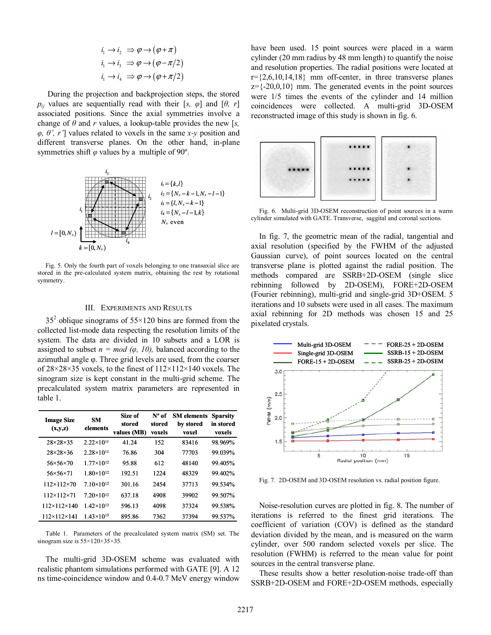$$
i_1 \rightarrow i_2 \Rightarrow \varphi \rightarrow (\varphi + \pi)
$$
  
\n
$$
i_1 \rightarrow i_3 \Rightarrow \varphi \rightarrow (\varphi - \pi/2)
$$
  
\n
$$
i_1 \rightarrow i_4 \Rightarrow \varphi \rightarrow (\varphi + \pi/2)
$$

 During the projection and backprojection steps, the stored *p<sub>ij</sub>* values are sequentially read with their [*s,*  $\varphi$ ] and [ $\theta$ *, r*] associated positions. Since the axial symmetries involve a change of  $\theta$  and  $r$  values, a lookup-table provides the new [s, *φ*,  $θ'$ ,  $r'$ ] values related to voxels in the same *x*-*y* position and different transverse planes. On the other hand, in-plane symmetries shift *φ* values by a multiple of 90º.



Fig. 5. Only the fourth part of voxels belonging to one transaxial slice are stored in the pre-calculated system matrix, obtaining the rest by rotational symmetry.

# III. EXPERIMENTS AND RESULTS

 $35<sup>2</sup>$  oblique sinograms of  $55 \times 120$  bins are formed from the collected list-mode data respecting the resolution limits of the system. The data are divided in 10 subsets and a LOR is assigned to subset  $n = mod (\varphi, 10)$ , balanced according to the azimuthal angle φ. Three grid levels are used, from the coarser of 28×28×35 voxels, to the finest of 112×112×140 voxels. The sinogram size is kept constant in the multi-grid scheme. The precalculated system matrix parameters are represented in table 1.

| <b>Image Size</b><br>(x,y,z) | <b>SM</b><br>elements | Size of<br>stored<br>values (MB) | $N^{\circ}$ of<br>stored<br>voxels | <b>SM</b> elements<br>by stored<br>voxel | <b>Sparsity</b><br>in stored<br>voxels |
|------------------------------|-----------------------|----------------------------------|------------------------------------|------------------------------------------|----------------------------------------|
| $28\times28\times35$         | $2.22 \times 10^{11}$ | 41.24                            | 152                                | 83416                                    | 98.969%                                |
| $28\times28\times36$         | $2.28\times10^{11}$   | 76.86                            | 304                                | 77703                                    | 99.039%                                |
| $56 \times 56 \times 70$     | $1.77\times10^{12}$   | 95.88                            | 612                                | 48140                                    | 99.405%                                |
| $56 \times 56 \times 71$     | $1.80 \times 10^{12}$ | 192.51                           | 1224                               | 48329                                    | 99.402%                                |
| $112 \times 112 \times 70$   | $7.10\times10^{12}$   | 301.16                           | 2454                               | 37713                                    | 99.534%                                |
| $112\times112\times71$       | $7.20\times10^{12}$   | 637.18                           | 4908                               | 39902                                    | 99.507%                                |
| $112 \times 112 \times 140$  | $1.42\times10^{13}$   | 596.13                           | 4098                               | 37324                                    | 99.538%                                |
| $112 \times 112 \times 141$  | $1.43 \times 10^{13}$ | 895.86                           | 7362                               | 37394                                    | 99.537%                                |

Table 1. Parameters of the precalculated system matrix (SM) set. The sinogram size is 55×120×35×35.

The multi-grid 3D-OSEM scheme was evaluated with realistic phantom simulations performed with GATE [9]. A 12 ns time-coincidence window and 0.4-0.7 MeV energy window have been used. 15 point sources were placed in a warm cylinder (20 mm radius by 48 mm length) to quantify the noise and resolution properties. The radial positions were located at  $r = \{2,6,10,14,18\}$  mm off-center, in three transverse planes  $z=\{-20,0,10\}$  mm. The generated events in the point sources were 1/5 times the events of the cylinder and 14 million coincidences were collected. A multi-grid 3D-OSEM reconstructed image of this study is shown in fig. 6.



Fig. 6. Multi-grid 3D-OSEM reconstruction of point sources in a warm cylinder simulated with GATE. Transverse, saggital and coronal sections.

In fig. 7, the geometric mean of the radial, tangential and axial resolution (specified by the FWHM of the adjusted Gaussian curve), of point sources located on the central transverse plane is plotted against the radial position. The methods compared are SSRB+2D-OSEM (single slice rebinning followed by 2D-OSEM), FORE+2D-OSEM (Fourier rebinning), multi-grid and single-grid 3D+OSEM. 5 iterations and 10 subsets were used in all cases. The maximum axial rebinning for 2D methods was chosen 15 and 25 pixelated crystals.



Fig. 7. 2D-OSEM and 3D-OSEM resolution vs. radial position figure.

Noise-resolution curves are plotted in fig. 8. The number of iterations is referred to the finest grid iterations. The coefficient of variation (COV) is defined as the standard deviation divided by the mean, and is measured on the warm cylinder, over 500 random selected voxels per slice. The resolution (FWHM) is referred to the mean value for point sources in the central transverse plane.

These results show a better resolution-noise trade-off than SSRB+2D-OSEM and FORE+2D-OSEM methods, especially